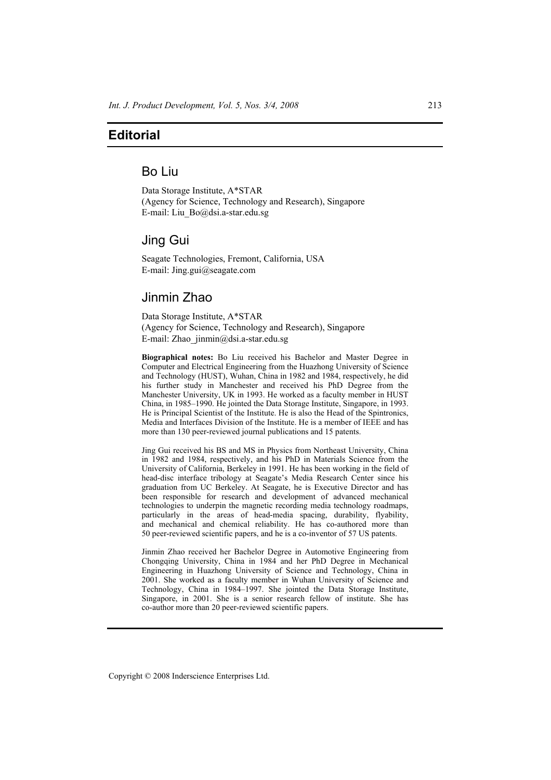# **Editorial**

## Bo Liu

Data Storage Institute, A\*STAR (Agency for Science, Technology and Research), Singapore E-mail: Liu\_Bo@dsi.a-star.edu.sg

### Jing Gui

Seagate Technologies, Fremont, California, USA E-mail: Jing.gui@seagate.com

# Jinmin Zhao

Data Storage Institute, A\*STAR (Agency for Science, Technology and Research), Singapore E-mail: Zhao\_jinmin@dsi.a-star.edu.sg

**Biographical notes:** Bo Liu received his Bachelor and Master Degree in Computer and Electrical Engineering from the Huazhong University of Science and Technology (HUST), Wuhan, China in 1982 and 1984, respectively, he did his further study in Manchester and received his PhD Degree from the Manchester University, UK in 1993. He worked as a faculty member in HUST China, in 1985–1990. He jointed the Data Storage Institute, Singapore, in 1993. He is Principal Scientist of the Institute. He is also the Head of the Spintronics, Media and Interfaces Division of the Institute. He is a member of IEEE and has more than 130 peer-reviewed journal publications and 15 patents.

Jing Gui received his BS and MS in Physics from Northeast University, China in 1982 and 1984, respectively, and his PhD in Materials Science from the University of California, Berkeley in 1991. He has been working in the field of head-disc interface tribology at Seagate's Media Research Center since his graduation from UC Berkeley. At Seagate, he is Executive Director and has been responsible for research and development of advanced mechanical technologies to underpin the magnetic recording media technology roadmaps, particularly in the areas of head-media spacing, durability, flyability, and mechanical and chemical reliability. He has co-authored more than 50 peer-reviewed scientific papers, and he is a co-inventor of 57 US patents.

Jinmin Zhao received her Bachelor Degree in Automotive Engineering from Chongqing University, China in 1984 and her PhD Degree in Mechanical Engineering in Huazhong University of Science and Technology, China in 2001. She worked as a faculty member in Wuhan University of Science and Technology, China in 1984–1997. She jointed the Data Storage Institute, Singapore, in 2001. She is a senior research fellow of institute. She has co-author more than 20 peer-reviewed scientific papers.